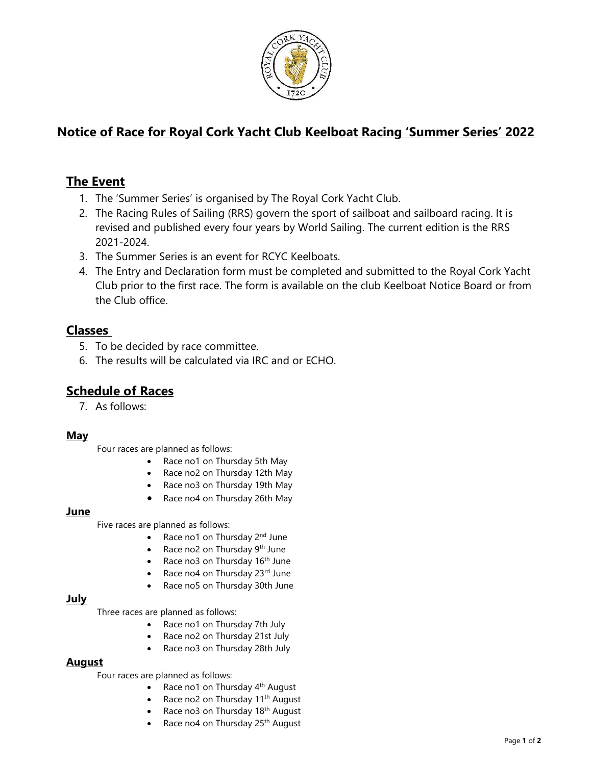

# Notice of Race for Royal Cork Yacht Club Keelboat Racing 'Summer Series' 2022

# The Event

- 1. The 'Summer Series' is organised by The Royal Cork Yacht Club.
- 2. The Racing Rules of Sailing (RRS) govern the sport of sailboat and sailboard racing. It is revised and published every four years by World Sailing. The current edition is the RRS 2021-2024.
- 3. The Summer Series is an event for RCYC Keelboats.
- 4. The Entry and Declaration form must be completed and submitted to the Royal Cork Yacht Club prior to the first race. The form is available on the club Keelboat Notice Board or from the Club office.

## Classes

- 5. To be decided by race committee.
- 6. The results will be calculated via IRC and or ECHO.

## Schedule of Races

7. As follows:

### May

Four races are planned as follows:

- Race no1 on Thursday 5th May
- Race no2 on Thursday 12th May
- Race no3 on Thursday 19th May
- Race no4 on Thursday 26th May

#### June

Five races are planned as follows:

- Race no1 on Thursday  $2^{nd}$  June
- Race no2 on Thursday  $9<sup>th</sup>$  June
- Race no3 on Thursday  $16<sup>th</sup>$  June
- Race no4 on Thursday 23rd June
- Race no5 on Thursday 30th June

#### July

Three races are planned as follows:

- Race no1 on Thursday 7th July
- Race no2 on Thursday 21st July
- Race no3 on Thursday 28th July

### August

Four races are planned as follows:

- Race no1 on Thursday  $4<sup>th</sup>$  August
- Race no2 on Thursday  $11<sup>th</sup>$  August
- Race no3 on Thursday 18<sup>th</sup> August
- Race no4 on Thursday 25<sup>th</sup> August